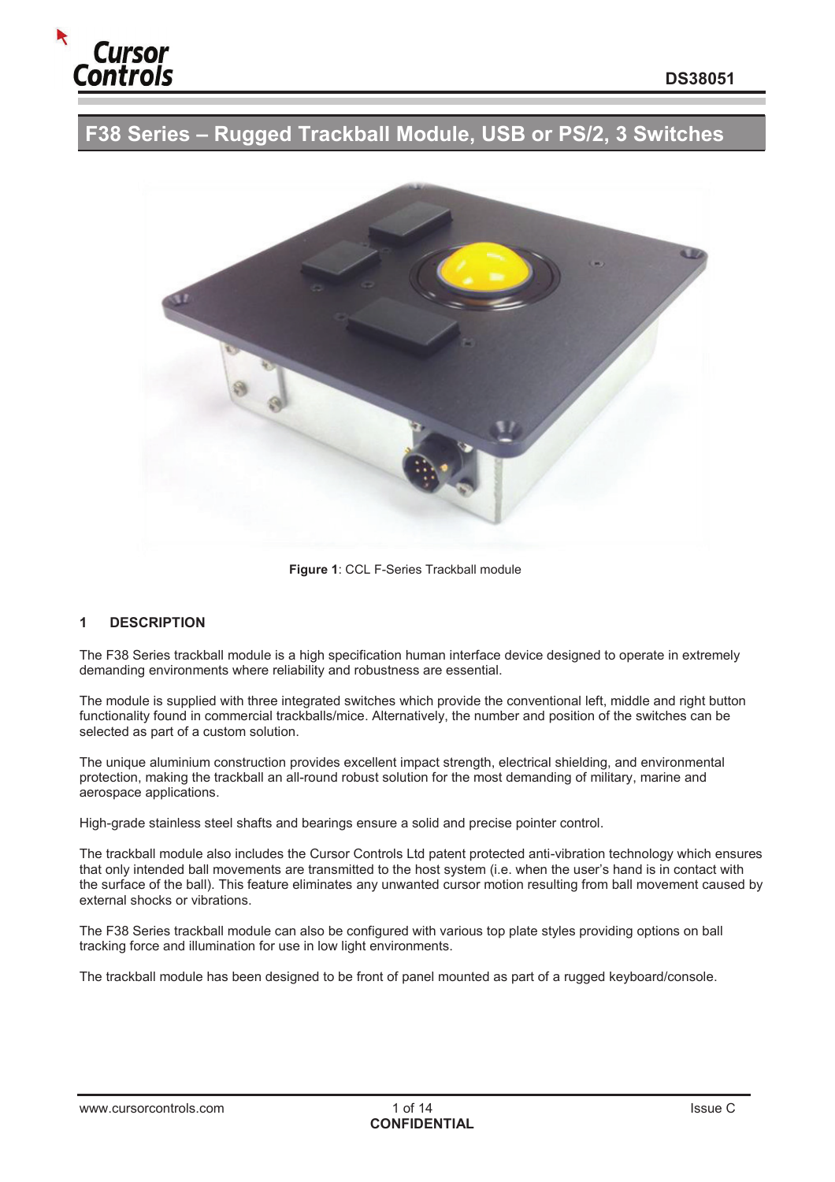

# **F38 Series – Rugged Trackball Module, USB or PS/2, 3 Switches**



**Figure 1**: CCL F-Series Trackball module

#### **1 DESCRIPTION**

The F38 Series trackball module is a high specification human interface device designed to operate in extremely demanding environments where reliability and robustness are essential.

The module is supplied with three integrated switches which provide the conventional left, middle and right button functionality found in commercial trackballs/mice. Alternatively, the number and position of the switches can be selected as part of a custom solution.

The unique aluminium construction provides excellent impact strength, electrical shielding, and environmental protection, making the trackball an all-round robust solution for the most demanding of military, marine and aerospace applications.

High-grade stainless steel shafts and bearings ensure a solid and precise pointer control.

The trackball module also includes the Cursor Controls Ltd patent protected anti-vibration technology which ensures that only intended ball movements are transmitted to the host system (i.e. when the user's hand is in contact with the surface of the ball). This feature eliminates any unwanted cursor motion resulting from ball movement caused by external shocks or vibrations.

The F38 Series trackball module can also be configured with various top plate styles providing options on ball tracking force and illumination for use in low light environments.

The trackball module has been designed to be front of panel mounted as part of a rugged keyboard/console.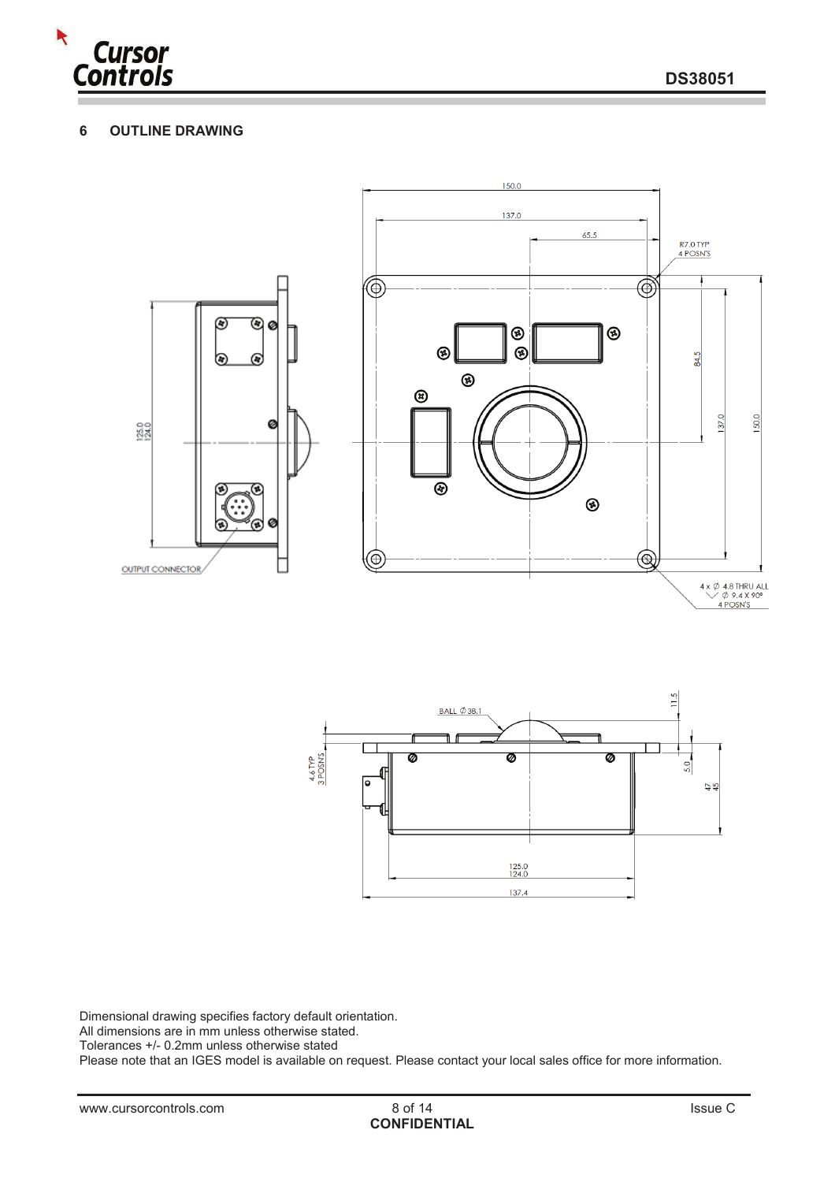

## **6 OUTLINE DRAWING**





Dimensional drawing specifies factory default orientation.

All dimensions are in mm unless otherwise stated.

Tolerances +/- 0.2mm unless otherwise stated

Please note that an IGES model is available on request. Please contact your local sales office for more information.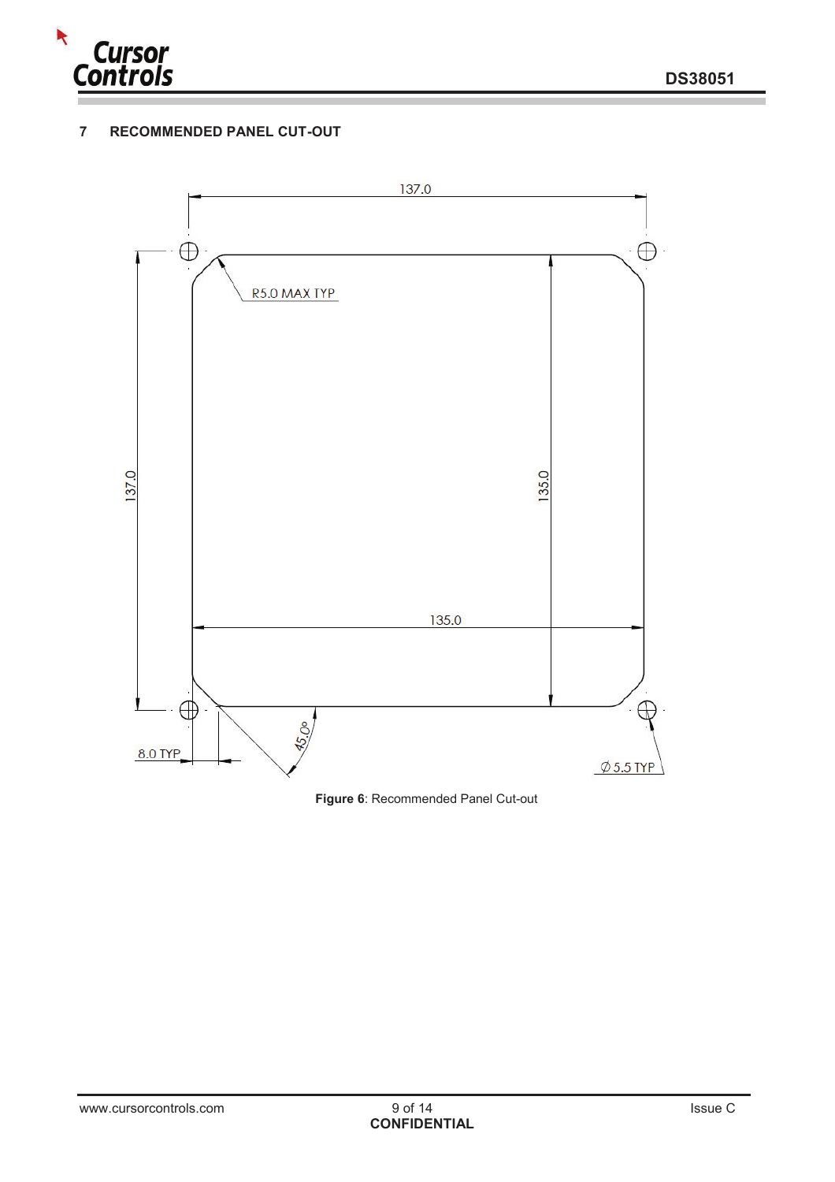

## **7 RECOMMENDED PANEL CUT-OUT**



**Figure 6**: Recommended Panel Cut-out